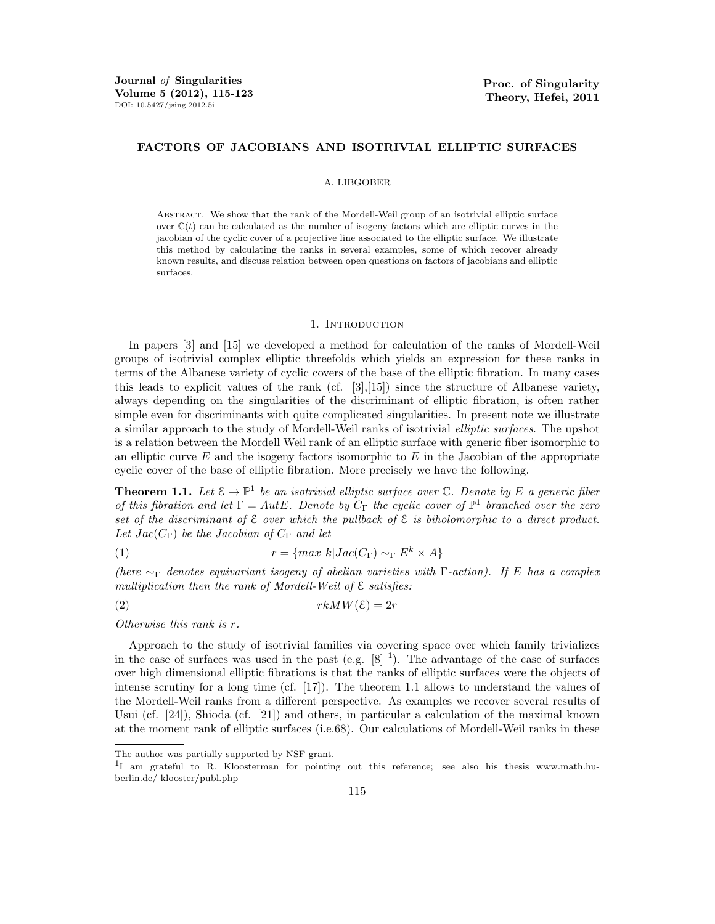# FACTORS OF JACOBIANS AND ISOTRIVIAL ELLIPTIC SURFACES

#### A. LIBGOBER

Abstract. We show that the rank of the Mordell-Weil group of an isotrivial elliptic surface over  $\mathbb{C}(t)$  can be calculated as the number of isogeny factors which are elliptic curves in the jacobian of the cyclic cover of a projective line associated to the elliptic surface. We illustrate this method by calculating the ranks in several examples, some of which recover already known results, and discuss relation between open questions on factors of jacobians and elliptic surfaces.

#### 1. Introduction

In papers [3] and [15] we developed a method for calculation of the ranks of Mordell-Weil groups of isotrivial complex elliptic threefolds which yields an expression for these ranks in terms of the Albanese variety of cyclic covers of the base of the elliptic fibration. In many cases this leads to explicit values of the rank (cf.  $[3],[15]$ ) since the structure of Albanese variety, always depending on the singularities of the discriminant of elliptic fibration, is often rather simple even for discriminants with quite complicated singularities. In present note we illustrate a similar approach to the study of Mordell-Weil ranks of isotrivial *elliptic surfaces*. The upshot is a relation between the Mordell Weil rank of an elliptic surface with generic fiber isomorphic to an elliptic curve *E* and the isogeny factors isomorphic to *E* in the Jacobian of the appropriate cyclic cover of the base of elliptic fibration. More precisely we have the following.

**Theorem 1.1.** Let  $\mathcal{E} \to \mathbb{P}^1$  be an isotrivial elliptic surface over  $\mathbb{C}$ . Denote by E a generic fiber *of this fibration and let*  $\Gamma = AutE$ *. Denote by*  $C_{\Gamma}$  *the cyclic cover of*  $\mathbb{P}^1$  *branched over the zero* set of the discriminant of  $\mathcal E$  *over which the pullback of*  $\mathcal E$  *is biholomorphic to a direct product.* Let  $Jac(C_{\Gamma})$  be the Jacobian of  $C_{\Gamma}$  and let

(1) 
$$
r = \{ \max k | Jac(C_{\Gamma}) \sim_{\Gamma} E^k \times A \}
$$

*(here*  $\sim_{\Gamma}$  *denotes equivariant isogeny of abelian varieties with*  $\Gamma$ -action). If E has a complex *multiplication then the rank of Mordell-Weil of* E *satisfies:*

$$
(2) \t\t\t rkMW(\mathcal{E}) = 2r
$$

*Otherwise this rank is r.*

Approach to the study of isotrivial families via covering space over which family trivializes in the case of surfaces was used in the past (e.g.  $[8]$ <sup>1</sup>). The advantage of the case of surfaces over high dimensional elliptic fibrations is that the ranks of elliptic surfaces were the objects of intense scrutiny for a long time (cf. [17]). The theorem 1.1 allows to understand the values of the Mordell-Weil ranks from a different perspective. As examples we recover several results of Usui (cf. [24]), Shioda (cf. [21]) and others, in particular a calculation of the maximal known at the moment rank of elliptic surfaces (i.e.68). Our calculations of Mordell-Weil ranks in these

The author was partially supported by NSF grant.

<sup>&</sup>lt;sup>1</sup>I am grateful to R. Kloosterman for pointing out this reference; see also his thesis www.math.huberlin.de/ klooster/publ.php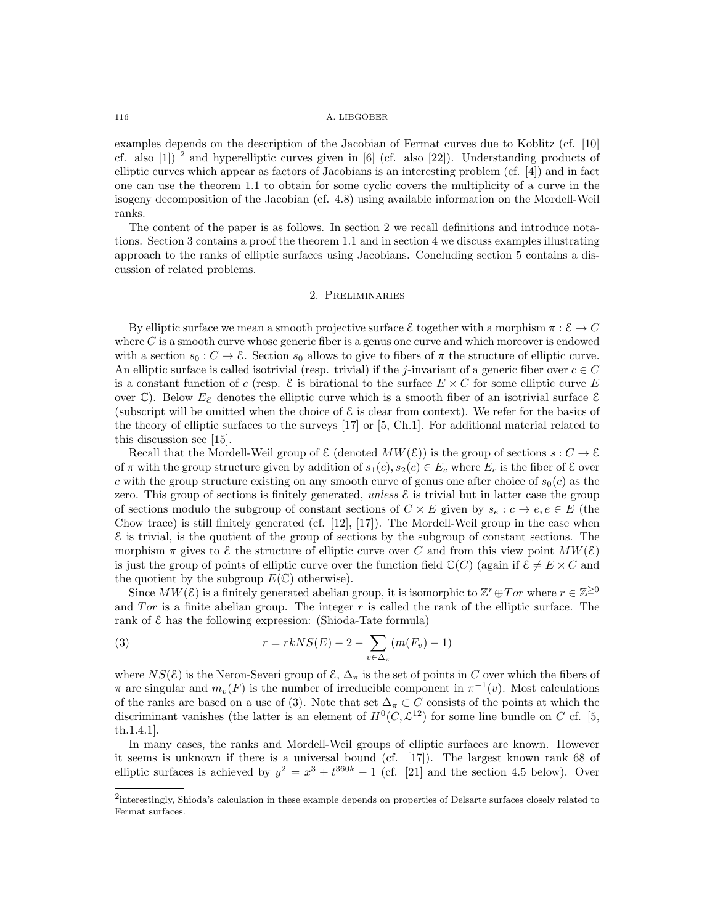### 116 A. LIBGOBER

examples depends on the description of the Jacobian of Fermat curves due to Koblitz (cf. [10] cf. also  $[1]$ ) <sup>2</sup> and hyperelliptic curves given in  $[6]$  (cf. also  $[22]$ ). Understanding products of elliptic curves which appear as factors of Jacobians is an interesting problem (cf. [4]) and in fact one can use the theorem 1.1 to obtain for some cyclic covers the multiplicity of a curve in the isogeny decomposition of the Jacobian (cf. 4.8) using available information on the Mordell-Weil ranks.

The content of the paper is as follows. In section 2 we recall definitions and introduce notations. Section 3 contains a proof the theorem 1.1 and in section 4 we discuss examples illustrating approach to the ranks of elliptic surfaces using Jacobians. Concluding section 5 contains a discussion of related problems.

# 2. Preliminaries

By elliptic surface we mean a smooth projective surface  $\mathcal E$  together with a morphism  $\pi : \mathcal E \to C$ where *C* is a smooth curve whose generic fiber is a genus one curve and which moreover is endowed with a section  $s_0 : C \to \mathcal{E}$ . Section  $s_0$  allows to give to fibers of  $\pi$  the structure of elliptic curve. An elliptic surface is called isotrivial (resp. trivial) if the *j*-invariant of a generic fiber over  $c \in C$ is a constant function of *c* (resp.  $\mathcal{E}$  is birational to the surface  $E \times C$  for some elliptic curve *E* over  $\mathbb{C}$ ). Below  $E_{\mathcal{E}}$  denotes the elliptic curve which is a smooth fiber of an isotrivial surface  $\mathcal{E}$ (subscript will be omitted when the choice of  $\mathcal E$  is clear from context). We refer for the basics of the theory of elliptic surfaces to the surveys [17] or [5, Ch.1]. For additional material related to this discussion see [15].

Recall that the Mordell-Weil group of  $\mathcal{E}$  (denoted  $MW(\mathcal{E}))$  is the group of sections  $s: C \to \mathcal{E}$ of  $\pi$  with the group structure given by addition of  $s_1(c)$ ,  $s_2(c) \in E_c$  where  $E_c$  is the fiber of  $\mathcal E$  over *c* with the group structure existing on any smooth curve of genus one after choice of  $s<sub>0</sub>(c)$  as the zero. This group of sections is finitely generated, *unless*  $\mathcal E$  is trivial but in latter case the group of sections modulo the subgroup of constant sections of  $C \times E$  given by  $s_e : c \to e, e \in E$  (the Chow trace) is still finitely generated (cf. [12], [17]). The Mordell-Weil group in the case when  $\mathcal E$  is trivial, is the quotient of the group of sections by the subgroup of constant sections. The morphism  $\pi$  gives to  $\mathcal E$  the structure of elliptic curve over *C* and from this view point  $MW(\mathcal E)$ is just the group of points of elliptic curve over the function field  $\mathbb{C}(C)$  (again if  $\mathcal{E} \neq E \times C$  and the quotient by the subgroup  $E(\mathbb{C})$  otherwise).

Since  $MW(\mathcal{E})$  is a finitely generated abelian group, it is isomorphic to  $\mathbb{Z}^r \oplus Tor$  where  $r \in \mathbb{Z}^{\geq 0}$ and *Tor* is a finite abelian group. The integer *r* is called the rank of the elliptic surface. The rank of  $\epsilon$  has the following expression: (Shioda-Tate formula)

(3) 
$$
r = rk NS(E) - 2 - \sum_{v \in \Delta_{\pi}} (m(F_v) - 1)
$$

where  $NS(\mathcal{E})$  is the Neron-Severi group of  $\mathcal{E}, \Delta_{\pi}$  is the set of points in *C* over which the fibers of  $\pi$  are singular and  $m_v(F)$  is the number of irreducible component in  $\pi^{-1}(v)$ . Most calculations of the ranks are based on a use of (3). Note that set  $\Delta_{\pi} \subset C$  consists of the points at which the discriminant vanishes (the latter is an element of  $H^0(C, \mathcal{L}^{12})$  for some line bundle on *C* cf. [5, th.1.4.1].

In many cases, the ranks and Mordell-Weil groups of elliptic surfaces are known. However it seems is unknown if there is a universal bound (cf. [17]). The largest known rank 68 of elliptic surfaces is achieved by  $y^2 = x^3 + t^{360k} - 1$  (cf. [21] and the section 4.5 below). Over

<sup>2</sup>interestingly, Shioda's calculation in these example depends on properties of Delsarte surfaces closely related to Fermat surfaces.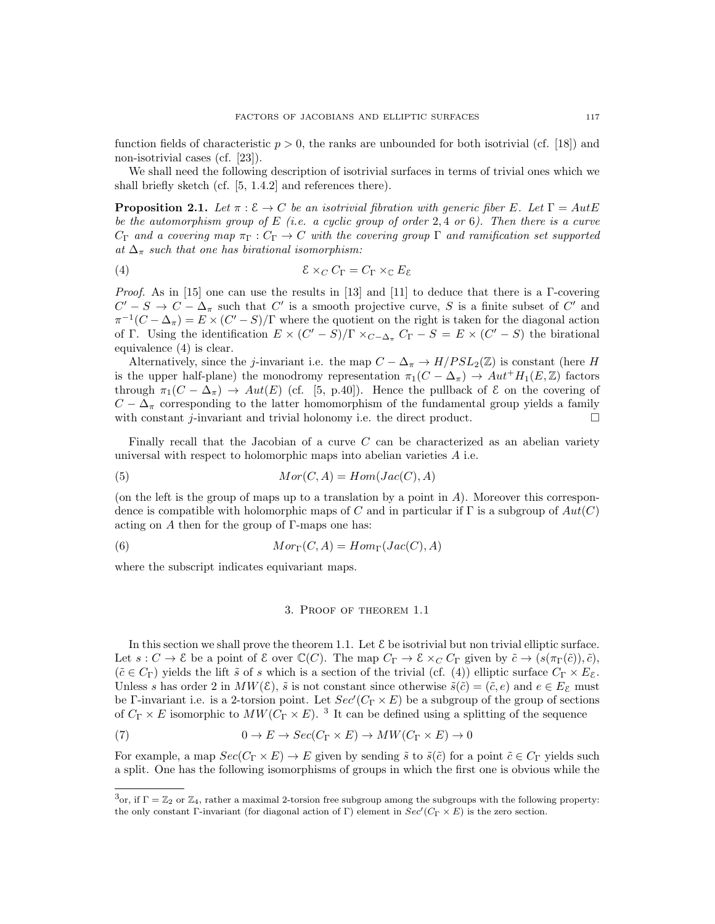function fields of characteristic  $p > 0$ , the ranks are unbounded for both isotrivial (cf. [18]) and non-isotrivial cases (cf. [23]).

We shall need the following description of isotrivial surfaces in terms of trivial ones which we shall briefly sketch (cf. [5, 1.4.2] and references there).

**Proposition 2.1.** Let  $\pi : \mathcal{E} \to C$  be an isotrivial fibration with generic fiber E. Let  $\Gamma = AutE$ *be the automorphism group of E (i.e. a cyclic group of order* 2*,* 4 *or* 6*). Then there is a curve*  $C_{\Gamma}$  and a covering map  $\pi_{\Gamma}: C_{\Gamma} \to C$  with the covering group  $\Gamma$  and ramification set supported at  $\Delta_{\pi}$  such that one has birational isomorphism:

(4) 
$$
\mathcal{E} \times_C C_{\Gamma} = C_{\Gamma} \times_{\mathbb{C}} E_{\mathcal{E}}
$$

*Proof.* As in [15] one can use the results in [13] and [11] to deduce that there is a  $\Gamma$ -covering  $C' - S \rightarrow C - \Delta_{\pi}$  such that  $C'$  is a smooth projective curve, *S* is a finite subset of  $C'$  and  $\pi^{-1}(C - \Delta_{\pi}) = E \times (C' - S)/\Gamma$  where the quotient on the right is taken for the diagonal action of  $\Gamma$ . Using the identification  $E \times (C' - S)/\Gamma \times_{C-\Delta_{\pi}} C_{\Gamma} - S = E \times (C' - S)$  the birational equivalence (4) is clear.

Alternatively, since the *j*-invariant i.e. the map  $C - \Delta_{\pi} \rightarrow H/PSL_2(\mathbb{Z})$  is constant (here *H* is the upper half-plane) the monodromy representation  $\pi_1(C - \Delta_{\pi}) \to Aut^+H_1(E,\mathbb{Z})$  factors through  $\pi_1(C - \Delta_{\pi}) \rightarrow Aut(E)$  (cf. [5, p.40]). Hence the pullback of  $\mathcal E$  on the covering of  $C - \Delta_{\pi}$  corresponding to the latter homomorphism of the fundamental group yields a family with constant *j*-invariant and trivial holonomy i.e. the direct product. with constant *j*-invariant and trivial holonomy i.e. the direct product.

Finally recall that the Jacobian of a curve *C* can be characterized as an abelian variety universal with respect to holomorphic maps into abelian varieties *A* i.e.

$$
(5) \tMor(C, A) = Hom(Jac(C), A)
$$

(on the left is the group of maps up to a translation by a point in *A*). Moreover this correspondence is compatible with holomorphic maps of *C* and in particular if  $\Gamma$  is a subgroup of  $Aut(C)$ acting on  $A$  then for the group of  $\Gamma$ -maps one has:

(6)  $Mor_{\Gamma}(C, A) = Hom_{\Gamma}(Jac(C), A)$ 

where the subscript indicates equivariant maps.

## 3. Proof of theorem 1.1

In this section we shall prove the theorem 1.1. Let  $\mathcal E$  be isotrivial but non trivial elliptic surface. Let  $s: C \to \mathcal{E}$  be a point of  $\mathcal{E}$  over  $\mathbb{C}(C)$ . The map  $C_{\Gamma} \to \mathcal{E} \times_C C_{\Gamma}$  given by  $\tilde{c} \to (s(\pi_{\Gamma}(\tilde{c})), \tilde{c})$ ,  $(\tilde{c} \in C_{\Gamma})$  yields the lift  $\tilde{s}$  of  $s$  which is a section of the trivial (cf. (4)) elliptic surface  $C_{\Gamma} \times E_{\mathcal{E}}$ . Unless *s* has order 2 in  $MW(\mathcal{E}), \tilde{s}$  is not constant since otherwise  $\tilde{s}(\tilde{c}) = (\tilde{c}, e)$  and  $e \in E_{\mathcal{E}}$  must be  $\Gamma$ -invariant i.e. is a 2-torsion point. Let  $Sec'(C_{\Gamma} \times E)$  be a subgroup of the group of sections of  $C_{\Gamma} \times E$  isomorphic to  $MW(C_{\Gamma} \times E)$ . <sup>3</sup> It can be defined using a splitting of the sequence

(7) 
$$
0 \to E \to Sec(C_{\Gamma} \times E) \to MW(C_{\Gamma} \times E) \to 0
$$

For example, a map  $Sec(C_{\Gamma} \times E) \to E$  given by sending  $\tilde{s}$  to  $\tilde{s}(\tilde{c})$  for a point  $\tilde{c} \in C_{\Gamma}$  yields such a split. One has the following isomorphisms of groups in which the first one is obvious while the

 $3\text{or, if } \Gamma = \mathbb{Z}_2 \text{ or } \mathbb{Z}_4$ , rather a maximal 2-torsion free subgroup among the subgroups with the following property: the only constant  $\Gamma$ -invariant (for diagonal action of  $\Gamma$ ) element in  $Sec'(\mathbb{C}_{\Gamma} \times E)$  is the zero section.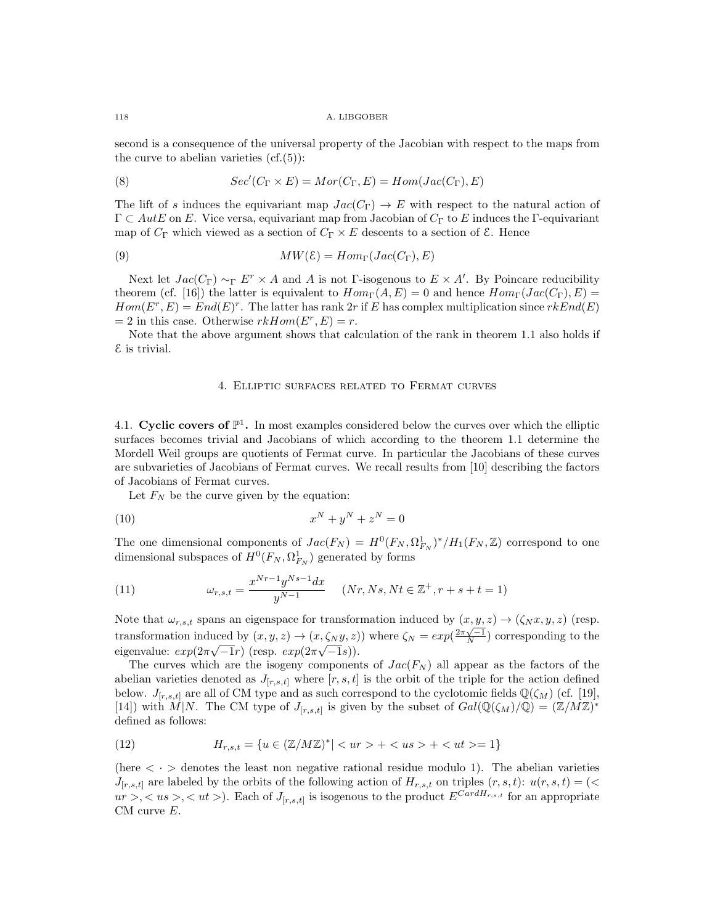second is a consequence of the universal property of the Jacobian with respect to the maps from the curve to abelian varieties  $(cf.(5))$ :

(8) 
$$
Sec'(C_{\Gamma} \times E) = Mor(C_{\Gamma}, E) = Hom(Jac(C_{\Gamma}), E)
$$

The lift of *s* induces the equivariant map  $Jac(C_{\Gamma}) \to E$  with respect to the natural action of  $\Gamma \subset AutE$  on *E*. Vice versa, equivariant map from Jacobian of  $C_{\Gamma}$  to *E* induces the  $\Gamma$ -equivariant map of  $C_{\Gamma}$  which viewed as a section of  $C_{\Gamma} \times E$  descents to a section of  $\mathcal{E}$ . Hence

(9) 
$$
MW(\mathcal{E}) = Hom_{\Gamma}(Jac(C_{\Gamma}), E)
$$

Next let  $Jac(C_{\Gamma}) \sim_{\Gamma} E^{r} \times A$  and *A* is not  $\Gamma$ -isogenous to  $E \times A'$ . By Poincare reducibility theorem (cf. [16]) the latter is equivalent to  $Hom_{\Gamma}(A, E) = 0$  and hence  $Hom_{\Gamma}(Jac(C_{\Gamma}), E) =$  $Hom(E^r, E) = End(E)^r$ . The latter has rank 2*r* if *E* has complex multiplication since  $rkEnd(E)$  $= 2$  in this case. Otherwise  $rkHom(E^r, E) = r$ .

Note that the above argument shows that calculation of the rank in theorem 1.1 also holds if E is trivial.

## 4. Elliptic surfaces related to Fermat curves

4.1. Cyclic covers of  $\mathbb{P}^1$ . In most examples considered below the curves over which the elliptic surfaces becomes trivial and Jacobians of which according to the theorem 1.1 determine the Mordell Weil groups are quotients of Fermat curve. In particular the Jacobians of these curves are subvarieties of Jacobians of Fermat curves. We recall results from [10] describing the factors of Jacobians of Fermat curves.

Let  $F_N$  be the curve given by the equation:

$$
(10)\qquad \qquad x^N + y^N + z^N = 0
$$

The one dimensional components of  $Jac(F_N) = H^0(F_N, \Omega^1_{F_N})^*/H_1(F_N, \mathbb{Z})$  correspond to one dimensional subspaces of  $H^0(F_N, \Omega^1_{F_N})$  generated by forms

(11) 
$$
\omega_{r,s,t} = \frac{x^{Nr-1}y^{Ns-1}dx}{y^{N-1}} \quad (Nr,Ns,Nt \in \mathbb{Z}^+, r+s+t=1)
$$

Note that  $\omega_{r,s,t}$  spans an eigenspace for transformation induced by  $(x, y, z) \rightarrow (\zeta_N x, y, z)$  (resp. transformation induced by  $(x, y, z) \rightarrow (x, \zeta_N y, z)$ ) where  $\zeta_N = exp(\frac{2\pi\sqrt{-1}}{N})$  corresponding to the eigenvalue:  $exp(2\pi\sqrt{-1}r)(resp. exp(2\pi\sqrt{-1}s)).$ 

The curves which are the isogeny components of  $Jac(F_N)$  all appear as the factors of the abelian varieties denoted as  $J_{[r,s,t]}$  where  $[r,s,t]$  is the orbit of the triple for the action defined below.  $J_{[r,s,t]}$  are all of CM type and as such correspond to the cyclotomic fields  $\mathbb{Q}(\zeta_M)$  (cf. [19], [14]) with  $\hat{M}|N$ . The CM type of  $J_{[r,s,t]}$  is given by the subset of  $Gal(\mathbb{Q}(\zeta_M)/\mathbb{Q})=(\mathbb{Z}/M\mathbb{Z})^*$ defined as follows:

(12) 
$$
H_{r,s,t} = \{ u \in (\mathbb{Z}/M\mathbb{Z})^* | < ur \gt + < us \gt + < ut \gt = 1 \}
$$

(here  $\langle \cdot \rangle$  denotes the least non negative rational residue modulo 1). The abelian varieties *J*<sub>[*r,s,t*]</sub> are labeled by the orbits of the following action of  $H_{r,s,t}$  on triples  $(r, s, t)$ :  $u(r, s, t) =$ (<  $ur >, \langle us>, \langle ut> \rangle$ . Each of  $J_{[r,s,t]}$  is isogenous to the product  $E^{CardH_{r,s,t}}$  for an appropriate CM curve *E*.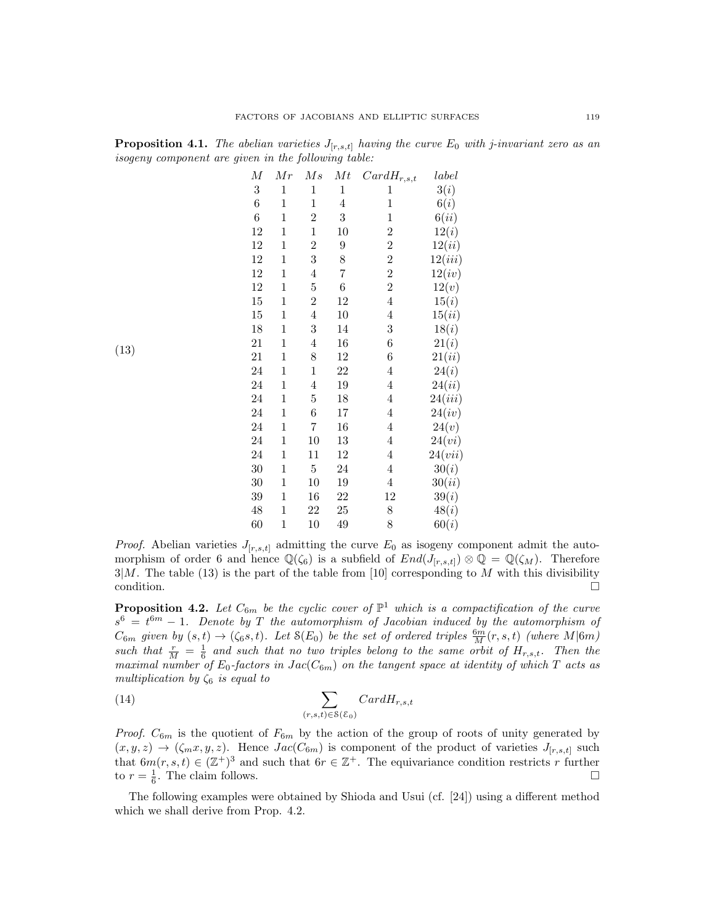| $\boldsymbol{M}$ | Mr           | Ms                      | Mt             | $CardH_{r,s,t}$  | label   |
|------------------|--------------|-------------------------|----------------|------------------|---------|
| $\,3$            | $\,1$        | $\,1$                   | $\mathbf{1}$   | $\mathbf{1}$     | 3(i)    |
| $\,6$            | $\mathbf{1}$ | $\mathbf 1$             | $\overline{4}$ | $\mathbf{1}$     | 6(i)    |
| $\,6$            | $\mathbf{1}$ | $\overline{2}$          | 3              | $\mathbf{1}$     | 6(ii)   |
| 12               | $\mathbf 1$  | $\mathbf{1}$            | 10             | $\overline{c}$   | 12(i)   |
| 12               | $\mathbf 1$  | $\overline{2}$          | 9              | $\overline{2}$   | 12(ii)  |
| 12               | $\mathbf 1$  | 3                       | 8              | $\overline{c}$   | 12(iii) |
| 12               | $\mathbf 1$  | $\overline{4}$          | 7              | $\overline{2}$   | 12(iv)  |
| 12               | $\mathbf{1}$ | $\overline{5}$          | $\,6$          | $\overline{2}$   | 12(v)   |
| 15               | $\mathbf{1}$ | $\overline{2}$          | 12             | $\overline{4}$   | 15(i)   |
| 15               | $\mathbf 1$  | $\overline{4}$          | 10             | $\overline{4}$   | 15(ii)  |
| 18               | $\mathbf 1$  | 3                       | 14             | $\boldsymbol{3}$ | 18(i)   |
| 21               | $\mathbf 1$  | $\overline{\mathbf{4}}$ | 16             | $\boldsymbol{6}$ | 21(i)   |
| 21               | $\mathbf 1$  | 8                       | 12             | $\boldsymbol{6}$ | 21(ii)  |
| 24               | $\mathbf 1$  | $\,1$                   | 22             | $\overline{4}$   | 24(i)   |
| 24               | $\mathbf 1$  | $\overline{4}$          | 19             | $\overline{4}$   | 24(ii)  |
| 24               | $\mathbf 1$  | $\overline{5}$          | 18             | $\overline{4}$   | 24(iii) |
| 24               | $\mathbf 1$  | 6                       | 17             | $\overline{4}$   | 24(iv)  |
| 24               | $\mathbf 1$  | 7                       | 16             | $\overline{4}$   | 24(v)   |
| 24               | $\mathbf 1$  | 10                      | 13             | $\overline{4}$   | 24(vi)  |
| 24               | $\mathbf 1$  | 11                      | 12             | $\overline{4}$   | 24(vii) |
| $30\,$           | $\mathbf{1}$ | $\overline{5}$          | 24             | $\overline{4}$   | 30(i)   |
| 30               | $\mathbf 1$  | 10                      | 19             | $\overline{4}$   | 30(ii)  |
| 39               | $\mathbf 1$  | 16                      | 22             | 12               | 39(i)   |
| 48               | $\mathbf 1$  | 22                      | 25             | 8                | 48(i)   |
| 60               | $\mathbf{1}$ | 10                      | 49             | 8                | 60(i)   |

(13)

**Proposition 4.1.** *The abelian varieties*  $J_{[r,s,t]}$  *having the curve*  $E_0$  *with j-invariant zero as an isogeny component are given in the following table:*

*Proof.* Abelian varieties  $J_{[r,s,t]}$  admitting the curve  $E_0$  as isogeny component admit the automorphism of order 6 and hence  $\mathbb{Q}(\zeta_6)$  is a subfield of  $End(J_{[r,s,t]}) \otimes \mathbb{Q} = \mathbb{Q}(\zeta_M)$ . Therefore  $3|M$ . The table (13) is the part of the table from [10] corresponding to *M* with this divisibility condition. condition.  $\Box$ 

**Proposition 4.2.** Let  $C_{6m}$  be the cyclic cover of  $\mathbb{P}^1$  which is a compactification of the curve  $s^6 = t^{6m} - 1$ . Denote by *T* the automorphism of Jacobian induced by the automorphism of  $C_{6m}$  *given by*  $(s,t) \rightarrow (\zeta_6 s,t)$ *. Let*  $S(E_0)$  *be the set of ordered triples*  $\frac{6m}{M}(r,s,t)$  *(where*  $M|6m$ ) such that  $\frac{r}{M} = \frac{1}{6}$  and such that no two triples belong to the same orbit of  $H_{r,s,t}$ . Then the *maximal number of*  $E_0$ -factors in  $Jac(C_{6m})$  on the tangent space at identity of which T acts as *multiplication by*  $\zeta_6$  *is equal to* 

(14) 
$$
\sum_{(r,s,t)\in\mathcal{S}(\mathcal{E}_0)} CardH_{r,s,t}
$$

*Proof.*  $C_{6m}$  is the quotient of  $F_{6m}$  by the action of the group of roots of unity generated by  $(x, y, z) \rightarrow (\zeta_m x, y, z)$ . Hence  $Jac(C_{6m})$  is component of the product of varieties  $J_{[r,s,t]}$  such that  $6m(r, s, t) \in (\mathbb{Z}^+)^3$  and such that  $6r \in \mathbb{Z}^+$ . The equivariance condition restricts *r* further to  $r = \frac{1}{6}$ . The claim follows.

The following examples were obtained by Shioda and Usui (cf.  $[24]$ ) using a different method which we shall derive from Prop. 4.2.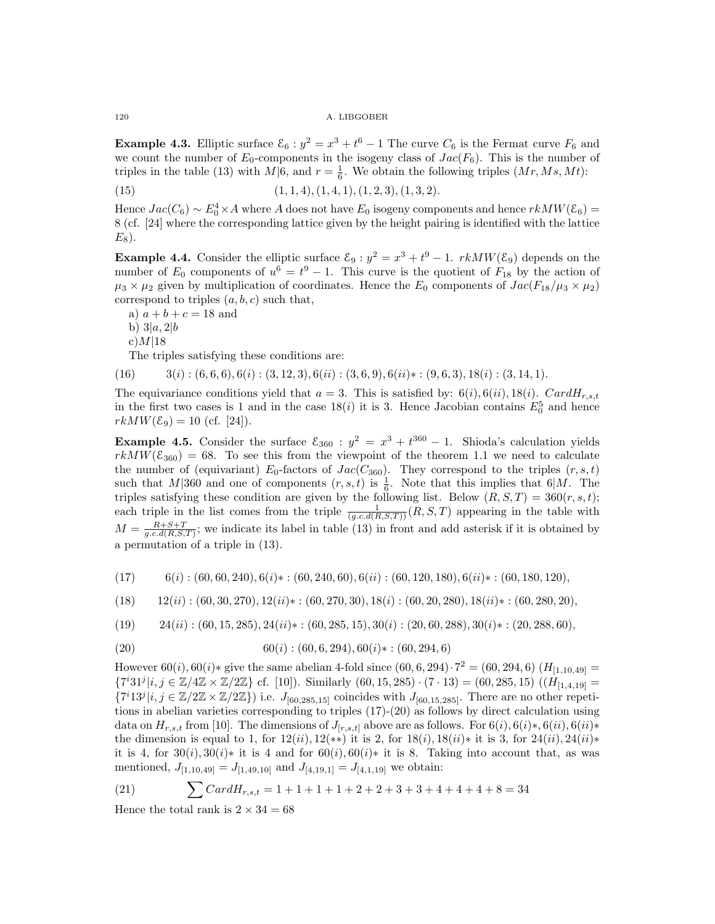120 A. LIBGOBER

**Example 4.3.** Elliptic surface  $\mathcal{E}_6$ :  $y^2 = x^3 + t^6 - 1$  The curve  $C_6$  is the Fermat curve  $F_6$  and we count the number of  $E_0$ -components in the isogeny class of  $Jac(F_6)$ . This is the number of triples in the table (13) with  $M|6$ , and  $r = \frac{1}{6}$ . We obtain the following triples  $(Mr, Ms, Mt)$ :

$$
(1, 1, 4), (1, 4, 1), (1, 2, 3), (1, 3, 2).
$$

Hence  $Jac(C_6) \sim E_0^4 \times A$  where *A* does not have  $E_0$  isogeny components and hence  $rkMW(\mathcal{E}_6)$  = 8 (cf. [24] where the corresponding lattice given by the height pairing is identified with the lattice  $E_8$ ).

**Example 4.4.** Consider the elliptic surface  $\mathcal{E}_9$  :  $y^2 = x^3 + t^9 - 1$ .  $rkMW(\mathcal{E}_9)$  depends on the number of  $E_0$  components of  $u^6 = t^9 - 1$ . This curve is the quotient of  $F_{18}$  by the action of  $\mu_3 \times \mu_2$  given by multiplication of coordinates. Hence the  $E_0$  components of  $Jac(F_{18}/\mu_3 \times \mu_2)$ correspond to triples (*a, b, c*) such that,

a)  $a + b + c = 18$  and

b) 3*|a,* 2*|b*

$$
\mathrm{c})M|18
$$

The triples satisfying these conditions are:

 $(16)$   $3(i)$ ;  $(6,6,6)$ ,  $6(i)$ ;  $(3,12,3)$ ,  $6(ii)$ ;  $(3,6,9)$ ,  $6(ii)*$ ;  $(9,6,3)$ ,  $18(i)$ ;  $(3,14,1)$ .

The equivariance conditions yield that  $a = 3$ . This is satisfied by:  $6(i)$ ,  $6(ii)$ ,  $18(i)$ .  $CardH_{r,s,t}$ in the first two cases is 1 and in the case  $18(i)$  it is 3. Hence Jacobian contains  $E_0^5$  and hence  $rkMW(\mathcal{E}_9) = 10$  (cf. [24]).

Example 4.5. Consider the surface  $\mathcal{E}_{360}$  :  $y^2 = x^3 + t^{360} - 1$ . Shioda's calculation yields  $rkMW(\mathcal{E}_{360}) = 68$ . To see this from the viewpoint of the theorem 1.1 we need to calculate the number of (equivariant)  $E_0$ -factors of  $Jac(C_{360})$ . They correspond to the triples  $(r, s, t)$ such that *M*<sup> $|360$ </sup> and one of components  $(r, s, t)$  is  $\frac{1}{6}$ . Note that this implies that 6*|M*. The triples satisfying these condition are given by the following list. Below  $(R, S, T) = 360(r, s, t);$ each triple in the list comes from the triple  $\frac{1}{(g.c.d(R,S,T))}(R,S,T)$  appearing in the table with  $M = \frac{R+S+T}{g.c.d(R,S,T)}$ ; we indicate its label in table (13) in front and add asterisk if it is obtained by a permutation of a triple in (13).

 $(17)$  6(*i*):  $(60, 60, 240)$ ,  $(6i)*(1, 60, 240, 60)$ ,  $(6ii): (60, 120, 180)$ ,  $(6ii)*: (60, 180, 120)$ ,

 $(18)$   $12(ii)$  :  $(60, 30, 270), 12(ii)$  :  $(60, 270, 30), 18(i)$  :  $(60, 20, 280), 18(ii)$  :  $(60, 280, 20)$ 

$$
(19) \qquad 24(ii): (60, 15, 285), 24(ii)*: (60, 285, 15), 30(i): (20, 60, 288), 30(i)*: (20, 288, 60),
$$

(20) 
$$
60(i) : (60, 6, 294), 60(i) * : (60, 294, 6)
$$

However  $60(i)$ ,  $60(i)$ \* give the same abelian 4-fold since  $(60, 6, 294) \cdot 7^2 = (60, 294, 6)$   $(H_{[1,10,49]} =$  $\{7^i 31^j | i, j \in \mathbb{Z}/4\mathbb{Z} \times \mathbb{Z}/2\mathbb{Z}\}$  cf. [10]). Similarly  $(60, 15, 285) \cdot (7 \cdot 13) = (60, 285, 15)$   $((H_{[1,4,19]} =$  $\{7^i13^j|i, j \in \mathbb{Z}/2\mathbb{Z} \times \mathbb{Z}/2\mathbb{Z}\}\)$  i.e.  $J_{[60,285,15]}$  coincides with  $J_{[60,15,285]}$ . There are no other repetitions in abelian varieties corresponding to triples (17)-(20) as follows by direct calculation using data on  $H_{r,s,t}$  from [10]. The dimensions of  $J_{[r,s,t]}$  above are as follows. For  $6(i)$ ,  $6(i)*$ ,  $6(ii)$ ,  $6(ii)*$ the dimension is equal to 1, for  $12(ii)$ ,  $12(**)$  it is 2, for  $18(i)$ ,  $18(ii)*$  it is 3, for  $24(ii)$ ,  $24(ii)*$ it is 4, for  $30(i)$ ,  $30(i)*$  it is 4 and for  $60(i)$ ,  $60(i)*$  it is 8. Taking into account that, as was mentioned,  $J_{[1,10,49]} = J_{[1,49,10]}$  and  $J_{[4,19,1]} = J_{[4,1,19]}$  we obtain:

(21) 
$$
\sum CardH_{r,s,t} = 1 + 1 + 1 + 1 + 2 + 2 + 3 + 3 + 4 + 4 + 4 + 8 = 34
$$

Hence the total rank is  $2 \times 34 = 68$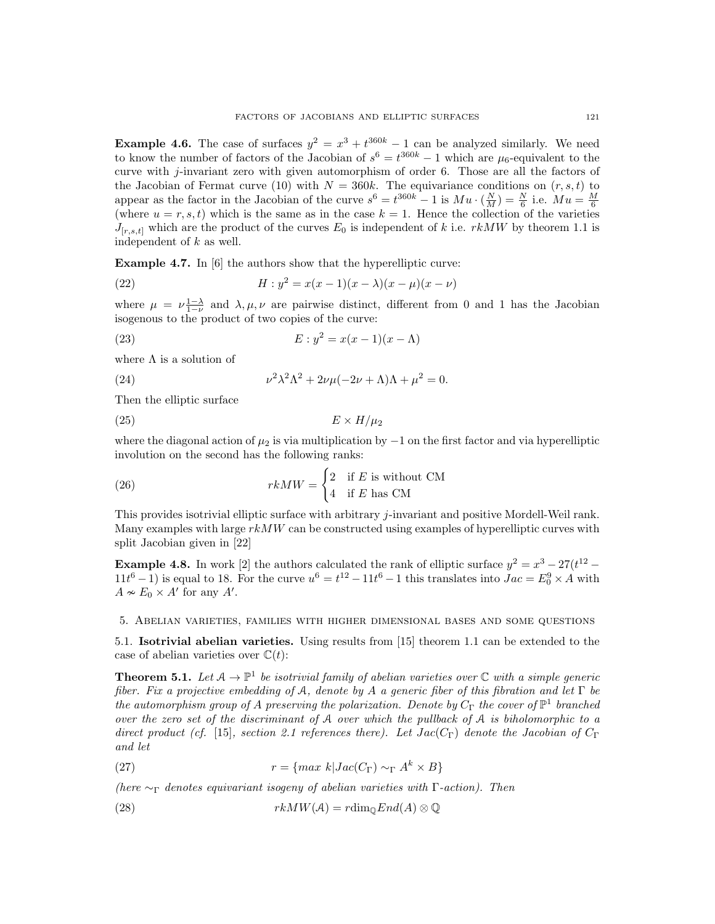**Example 4.6.** The case of surfaces  $y^2 = x^3 + t^{360k} - 1$  can be analyzed similarly. We need to know the number of factors of the Jacobian of  $s^6 = t^{360k} - 1$  which are  $\mu_6$ -equivalent to the curve with *j*-invariant zero with given automorphism of order 6. Those are all the factors of the Jacobian of Fermat curve (10) with  $N = 360k$ . The equivariance conditions on  $(r, s, t)$  to appear as the factor in the Jacobian of the curve  $s^6 = t^{360k} - 1$  is  $Mu \cdot (\frac{N}{M}) = \frac{N}{6}$  i.e.  $Mu = \frac{M}{6}$  (where  $u = r, s, t$ ) which is the same as in the case  $k = 1$ . Hence the collection of the varieties  $J_{[r,s,t]}$  which are the product of the curves  $E_0$  is independent of *k* i.e. *rkMW* by theorem 1.1 is independent of *k* as well.

Example 4.7. In [6] the authors show that the hyperelliptic curve:

(22) 
$$
H: y^2 = x(x-1)(x-\lambda)(x-\mu)(x-\nu)
$$

where  $\mu = \nu \frac{1-\lambda}{1-\nu}$  and  $\lambda, \mu, \nu$  are pairwise distinct, different from 0 and 1 has the Jacobian isogenous to the product of two copies of the curve:

(23) 
$$
E: y^2 = x(x-1)(x-\Lambda)
$$

where  $\Lambda$  is a solution of

(24) 
$$
\nu^2 \lambda^2 \Lambda^2 + 2\nu \mu (-2\nu + \Lambda)\Lambda + \mu^2 = 0.
$$

Then the elliptic surface

$$
(25) \t\t\t E \times H/\mu_2
$$

where the diagonal action of  $\mu_2$  is via multiplication by  $-1$  on the first factor and via hyperelliptic involution on the second has the following ranks:

(26) 
$$
rkMW = \begin{cases} 2 & \text{if } E \text{ is without CM} \\ 4 & \text{if } E \text{ has CM} \end{cases}
$$

This provides isotrivial elliptic surface with arbitrary *j*-invariant and positive Mordell-Weil rank. Many examples with large *rkMW* can be constructed using examples of hyperelliptic curves with split Jacobian given in [22]

**Example 4.8.** In work [2] the authors calculated the rank of elliptic surface  $y^2 = x^3 - 27(t^{12} 11t^6 - 1$ ) is equal to 18. For the curve  $u^6 = t^{12} - 11t^6 - 1$  this translates into  $Jac = E_0^9 \times A$  with  $A \nsim E_0 \times A'$  for any  $A'$ .

5. Abelian varieties, families with higher dimensional bases and some questions

5.1. Isotrivial abelian varieties. Using results from [15] theorem 1.1 can be extended to the case of abelian varieties over  $\mathbb{C}(t)$ :

**Theorem 5.1.** Let  $A \to \mathbb{P}^1$  be isotrivial family of abelian varieties over  $\mathbb C$  with a simple generic *fiber. Fix a projective embedding of*  $A$ *, denote by*  $A$  *a generic fiber of this fibration and let*  $\Gamma$  *be the automorphism group of A* preserving the polarization. Denote by  $C_{\Gamma}$  *the cover of*  $\mathbb{P}^1$  *branched over the zero set of the discriminant of* A *over which the pullback of* A *is biholomorphic to a direct product (cf.* [15]*, section 2.1 references there). Let*  $Jac(C_{\Gamma})$  *denote the Jacobian of*  $C_{\Gamma}$ *and let*

(27) 
$$
r = \{ \max k | Jac(C_{\Gamma}) \sim_{\Gamma} A^k \times B \}
$$

*(here*  $\sim_{\Gamma}$  *denotes equivariant isogeny of abelian varieties with*  $\Gamma$ -*action*). Then

(28) 
$$
rkMW(\mathcal{A})=r\dim_{\mathbb{Q}}End(A)\otimes\mathbb{Q}
$$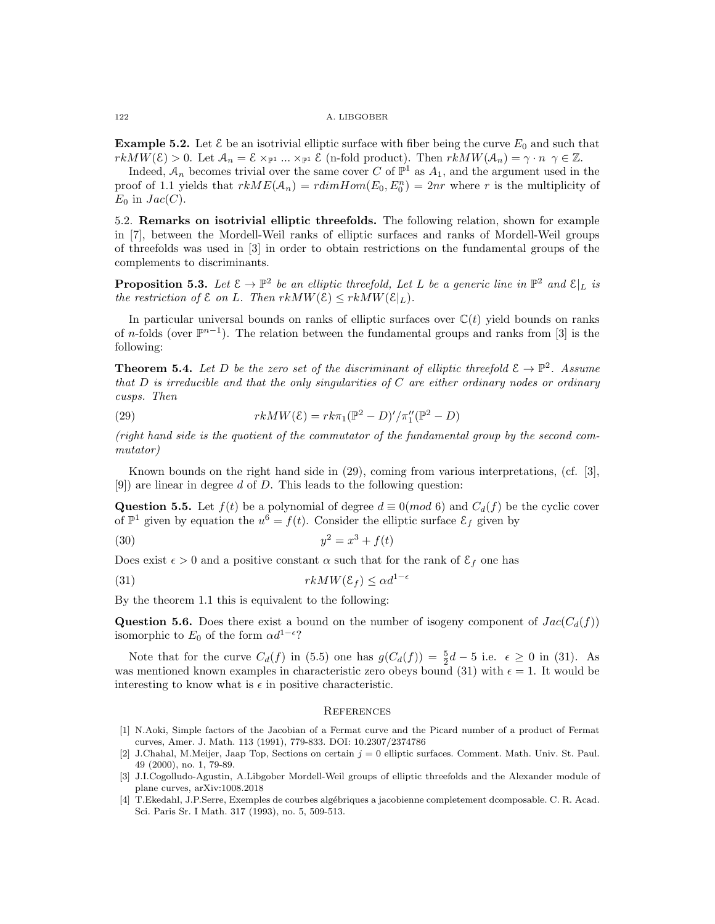**Example 5.2.** Let  $\mathcal{E}$  be an isotrivial elliptic surface with fiber being the curve  $E_0$  and such that  $rkMW(\mathcal{E}) > 0$ . Let  $\mathcal{A}_n = \mathcal{E} \times_{\mathbb{P}^1} \dots \times_{\mathbb{P}^1} \mathcal{E}$  (n-fold product). Then  $rkMW(\mathcal{A}_n) = \gamma \cdot n \quad \gamma \in \mathbb{Z}$ .

Indeed,  $A_n$  becomes trivial over the same cover *C* of  $\mathbb{P}^1$  as  $A_1$ , and the argument used in the proof of 1.1 yields that  $rkME(\mathcal{A}_n) = rdimHom(E_0, E_0^n) = 2nr$  where *r* is the multiplicity of  $E_0$  in  $Jac(C)$ .

5.2. Remarks on isotrivial elliptic threefolds. The following relation, shown for example in [7], between the Mordell-Weil ranks of elliptic surfaces and ranks of Mordell-Weil groups of threefolds was used in [3] in order to obtain restrictions on the fundamental groups of the complements to discriminants.

**Proposition 5.3.** Let  $\mathcal{E} \to \mathbb{P}^2$  be an elliptic threefold, Let L be a generic line in  $\mathbb{P}^2$  and  $\mathcal{E}|_L$  is *the restriction of*  $\mathcal{E}$  *on*  $L$ *. Then*  $rkMW(\mathcal{E}) \leq rkMW(\mathcal{E}|_L)$ *.* 

In particular universal bounds on ranks of elliptic surfaces over  $\mathbb{C}(t)$  yield bounds on ranks of *n*-folds (over  $\mathbb{P}^{n-1}$ ). The relation between the fundamental groups and ranks from [3] is the following:

**Theorem 5.4.** Let D be the zero set of the discriminant of elliptic threefold  $\mathcal{E} \to \mathbb{P}^2$ . Assume *that D is irreducible and that the only singularities of C are either ordinary nodes or ordinary cusps. Then*

(29) 
$$
rkMW(\mathcal{E}) = rk\pi_1(\mathbb{P}^2 - D)'/\pi_1''(\mathbb{P}^2 - D)
$$

*(right hand side is the quotient of the commutator of the fundamental group by the second commutator)*

Known bounds on the right hand side in (29), coming from various interpretations, (cf. [3], [9]) are linear in degree *d* of *D*. This leads to the following question:

Question 5.5. Let  $f(t)$  be a polynomial of degree  $d \equiv 0(mod 6)$  and  $C_d(f)$  be the cyclic cover of  $\mathbb{P}^1$  given by equation the  $u^6 = f(t)$ . Consider the elliptic surface  $\mathcal{E}_f$  given by

(30) 
$$
y^2 = x^3 + f(t)
$$

Does exist  $\epsilon > 0$  and a positive constant  $\alpha$  such that for the rank of  $\mathcal{E}_f$  one has

(31) 
$$
rkMW(\mathcal{E}_f) \leq \alpha d^{1-\epsilon}
$$

By the theorem 1.1 this is equivalent to the following:

**Question 5.6.** Does there exist a bound on the number of isogeny component of  $Jac(C_d(f))$ isomorphic to  $E_0$  of the form  $\alpha d^{1-\epsilon}$ ?

Note that for the curve  $C_d(f)$  in (5.5) one has  $g(C_d(f)) = \frac{5}{2}d - 5$  i.e.  $\epsilon \geq 0$  in (31). As was mentioned known examples in characteristic zero obeys bound (31) with  $\epsilon = 1$ . It would be interesting to know what is  $\epsilon$  in positive characteristic.

## **REFERENCES**

- [1] N.Aoki, Simple factors of the Jacobian of a Fermat curve and the Picard number of a product of Fermat curves, Amer. J. Math. 113 (1991), 779-833. DOI: 10.2307/2374786
- [2] J.Chahal, M.Meijer, Jaap Top, Sections on certain *j* = 0 elliptic surfaces. Comment. Math. Univ. St. Paul. 49 (2000), no. 1, 79-89.
- [3] J.I.Cogolludo-Agustin, A.Libgober Mordell-Weil groups of elliptic threefolds and the Alexander module of plane curves, arXiv:1008.2018
- [4] T.Ekedahl, J.P.Serre, Exemples de courbes alg´ebriques a jacobienne completement dcomposable. C. R. Acad. Sci. Paris Sr. I Math. 317 (1993), no. 5, 509-513.